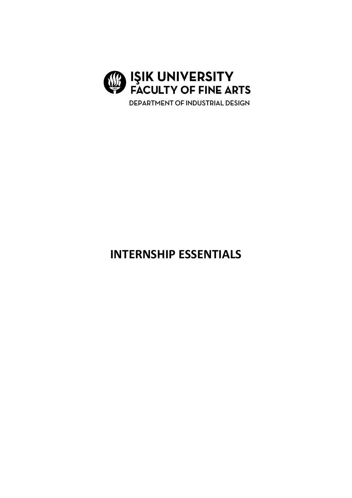

# **INTERNSHIP ESSENTIALS**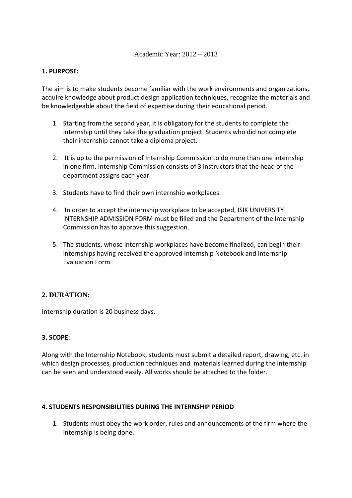#### Academic Year: 2012 – 2013

#### **1. PURPOSE:**

The aim is to make students become familiar with the work environments and organizations, acquire knowledge about product design application techniques, recognize the materials and be knowledgeable about the field of expertise during their educational period.

- 1. Starting from the second year, it is obligatory for the students to complete the internship until they take the graduation project. Students who did not complete their internship cannot take a diploma project.
- 2. It is up to the permission of Internship Commission to do more than one internship in one firm. Internship Commission consists of 3 instructors that the head of the department assigns each year.
- 3. Students have to find their own internship workplaces.
- 4. In order to accept the internship workplace to be accepted, ISIK UNIVERSITY INTERNSHIP ADMISSION FORM must be filled and the Department of the Internship Commission has to approve this suggestion.
- 5. The students, whose internship workplaces have become finalized, can begin their internships having received the approved Internship Notebook and Internship Evaluation Form.

# **2. DURATION:**

Internship duration is 20 business days.

# **3. SCOPE:**

Along with the Internship Notebook, students must submit a detailed report, drawing, etc. in which design processes, production techniques and materials learned during the internship can be seen and understood easily. All works should be attached to the folder.

#### **4. STUDENTS RESPONSIBILITIES DURING THE INTERNSHIP PERIOD**

1. Students must obey the work order, rules and announcements of the firm where the internship is being done.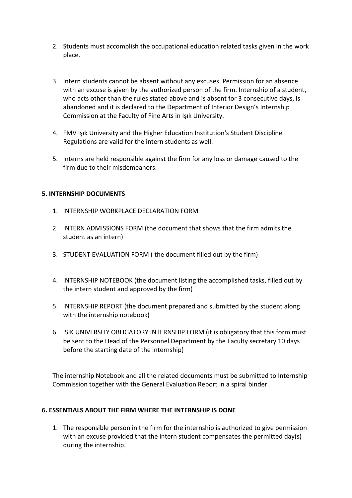- 2. Students must accomplish the occupational education related tasks given in the work place.
- 3. Intern students cannot be absent without any excuses. Permission for an absence with an excuse is given by the authorized person of the firm. Internship of a student, who acts other than the rules stated above and is absent for 3 consecutive days, is abandoned and it is declared to the Department of Interior Design's Internship Commission at the Faculty of Fine Arts in Işık University.
- 4. FMV Işık University and the Higher Education Institution's Student Discipline Regulations are valid for the intern students as well.
- 5. Interns are held responsible against the firm for any loss or damage caused to the firm due to their misdemeanors.

# **5. INTERNSHIP DOCUMENTS**

- 1. INTERNSHIP WORKPLACE DECLARATION FORM
- 2. INTERN ADMISSIONS FORM (the document that shows that the firm admits the student as an intern)
- 3. STUDENT EVALUATION FORM ( the document filled out by the firm)
- 4. INTERNSHIP NOTEBOOK (the document listing the accomplished tasks, filled out by the intern student and approved by the firm)
- 5. INTERNSHIP REPORT (the document prepared and submitted by the student along with the internship notebook)
- 6. ISIK UNIVERSITY OBLIGATORY INTERNSHIP FORM (it is obligatory that this form must be sent to the Head of the Personnel Department by the Faculty secretary 10 days before the starting date of the internship)

The internship Notebook and all the related documents must be submitted to Internship Commission together with the General Evaluation Report in a spiral binder.

# **6. ESSENTIALS ABOUT THE FIRM WHERE THE INTERNSHIP IS DONE**

1. The responsible person in the firm for the internship is authorized to give permission with an excuse provided that the intern student compensates the permitted day(s) during the internship.